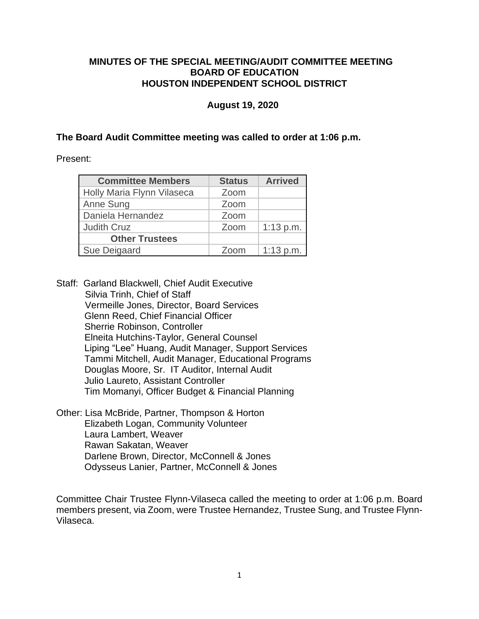## **MINUTES OF THE SPECIAL MEETING/AUDIT COMMITTEE MEETING BOARD OF EDUCATION HOUSTON INDEPENDENT SCHOOL DISTRICT**

### **August 19, 2020**

## **The Board Audit Committee meeting was called to order at 1:06 p.m.**

Present:

| <b>Committee Members</b>   | <b>Status</b> | <b>Arrived</b> |
|----------------------------|---------------|----------------|
| Holly Maria Flynn Vilaseca | Zoom          |                |
| Anne Sung                  | Zoom          |                |
| Daniela Hernandez          | Zoom          |                |
| <b>Judith Cruz</b>         | Zoom          | $1:13$ p.m.    |
| <b>Other Trustees</b>      |               |                |
| Sue Deigaard               | Zoom          | $1:13$ p.m.    |

Staff: Garland Blackwell, Chief Audit Executive Silvia Trinh, Chief of Staff Vermeille Jones, Director, Board Services Glenn Reed, Chief Financial Officer Sherrie Robinson, Controller Elneita Hutchins-Taylor, General Counsel Liping "Lee" Huang, Audit Manager, Support Services Tammi Mitchell, Audit Manager, Educational Programs Douglas Moore, Sr. IT Auditor, Internal Audit Julio Laureto, Assistant Controller Tim Momanyi, Officer Budget & Financial Planning

Other: Lisa McBride, Partner, Thompson & Horton Elizabeth Logan, Community Volunteer Laura Lambert, Weaver Rawan Sakatan, Weaver Darlene Brown, Director, McConnell & Jones Odysseus Lanier, Partner, McConnell & Jones

Committee Chair Trustee Flynn-Vilaseca called the meeting to order at 1:06 p.m. Board members present, via Zoom, were Trustee Hernandez, Trustee Sung, and Trustee Flynn-Vilaseca.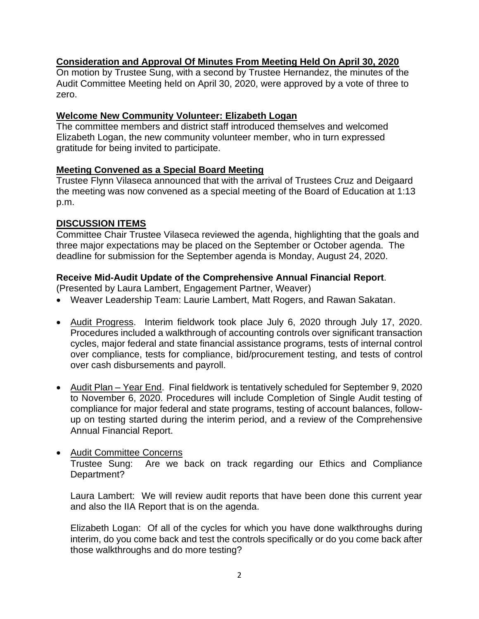# **Consideration and Approval Of Minutes From Meeting Held On April 30, 2020**

On motion by Trustee Sung, with a second by Trustee Hernandez, the minutes of the Audit Committee Meeting held on April 30, 2020, were approved by a vote of three to zero.

## **Welcome New Community Volunteer: Elizabeth Logan**

The committee members and district staff introduced themselves and welcomed Elizabeth Logan, the new community volunteer member, who in turn expressed gratitude for being invited to participate.

# **Meeting Convened as a Special Board Meeting**

Trustee Flynn Vilaseca announced that with the arrival of Trustees Cruz and Deigaard the meeting was now convened as a special meeting of the Board of Education at 1:13 p.m.

# **DISCUSSION ITEMS**

Committee Chair Trustee Vilaseca reviewed the agenda, highlighting that the goals and three major expectations may be placed on the September or October agenda. The deadline for submission for the September agenda is Monday, August 24, 2020.

## **Receive Mid-Audit Update of the Comprehensive Annual Financial Report**.

(Presented by Laura Lambert, Engagement Partner, Weaver)

- Weaver Leadership Team: Laurie Lambert, Matt Rogers, and Rawan Sakatan.
- Audit Progress. Interim fieldwork took place July 6, 2020 through July 17, 2020. Procedures included a walkthrough of accounting controls over significant transaction cycles, major federal and state financial assistance programs, tests of internal control over compliance, tests for compliance, bid/procurement testing, and tests of control over cash disbursements and payroll.
- Audit Plan Year End. Final fieldwork is tentatively scheduled for September 9, 2020 to November 6, 2020. Procedures will include Completion of Single Audit testing of compliance for major federal and state programs, testing of account balances, followup on testing started during the interim period, and a review of the Comprehensive Annual Financial Report.
- Audit Committee Concerns Trustee Sung: Are we back on track regarding our Ethics and Compliance Department?

Laura Lambert: We will review audit reports that have been done this current year and also the IIA Report that is on the agenda.

Elizabeth Logan: Of all of the cycles for which you have done walkthroughs during interim, do you come back and test the controls specifically or do you come back after those walkthroughs and do more testing?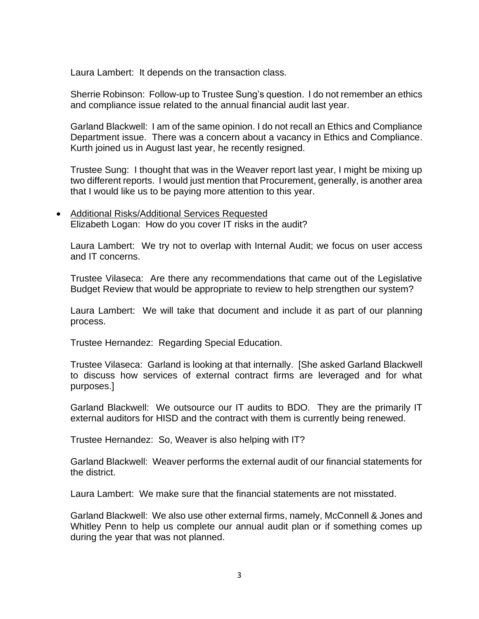Laura Lambert: It depends on the transaction class.

Sherrie Robinson: Follow-up to Trustee Sung's question. I do not remember an ethics and compliance issue related to the annual financial audit last year.

Garland Blackwell: I am of the same opinion. I do not recall an Ethics and Compliance Department issue. There was a concern about a vacancy in Ethics and Compliance. Kurth joined us in August last year, he recently resigned.

Trustee Sung: I thought that was in the Weaver report last year, I might be mixing up two different reports. I would just mention that Procurement, generally, is another area that I would like us to be paying more attention to this year.

• Additional Risks/Additional Services Requested Elizabeth Logan: How do you cover IT risks in the audit?

Laura Lambert: We try not to overlap with Internal Audit; we focus on user access and IT concerns.

Trustee Vilaseca: Are there any recommendations that came out of the Legislative Budget Review that would be appropriate to review to help strengthen our system?

Laura Lambert: We will take that document and include it as part of our planning process.

Trustee Hernandez: Regarding Special Education.

Trustee Vilaseca: Garland is looking at that internally. [She asked Garland Blackwell to discuss how services of external contract firms are leveraged and for what purposes.]

Garland Blackwell: We outsource our IT audits to BDO. They are the primarily IT external auditors for HISD and the contract with them is currently being renewed.

Trustee Hernandez: So, Weaver is also helping with IT?

Garland Blackwell: Weaver performs the external audit of our financial statements for the district.

Laura Lambert: We make sure that the financial statements are not misstated.

Garland Blackwell: We also use other external firms, namely, McConnell & Jones and Whitley Penn to help us complete our annual audit plan or if something comes up during the year that was not planned.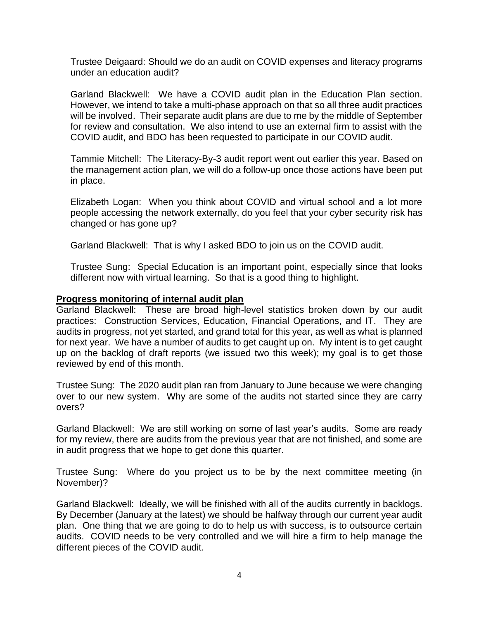Trustee Deigaard: Should we do an audit on COVID expenses and literacy programs under an education audit?

Garland Blackwell: We have a COVID audit plan in the Education Plan section. However, we intend to take a multi-phase approach on that so all three audit practices will be involved. Their separate audit plans are due to me by the middle of September for review and consultation. We also intend to use an external firm to assist with the COVID audit, and BDO has been requested to participate in our COVID audit.

Tammie Mitchell: The Literacy-By-3 audit report went out earlier this year. Based on the management action plan, we will do a follow-up once those actions have been put in place.

Elizabeth Logan: When you think about COVID and virtual school and a lot more people accessing the network externally, do you feel that your cyber security risk has changed or has gone up?

Garland Blackwell: That is why I asked BDO to join us on the COVID audit.

Trustee Sung: Special Education is an important point, especially since that looks different now with virtual learning. So that is a good thing to highlight.

### **Progress monitoring of internal audit plan**

Garland Blackwell: These are broad high-level statistics broken down by our audit practices: Construction Services, Education, Financial Operations, and IT. They are audits in progress, not yet started, and grand total for this year, as well as what is planned for next year. We have a number of audits to get caught up on. My intent is to get caught up on the backlog of draft reports (we issued two this week); my goal is to get those reviewed by end of this month.

Trustee Sung: The 2020 audit plan ran from January to June because we were changing over to our new system. Why are some of the audits not started since they are carry overs?

Garland Blackwell: We are still working on some of last year's audits. Some are ready for my review, there are audits from the previous year that are not finished, and some are in audit progress that we hope to get done this quarter.

Trustee Sung: Where do you project us to be by the next committee meeting (in November)?

Garland Blackwell: Ideally, we will be finished with all of the audits currently in backlogs. By December (January at the latest) we should be halfway through our current year audit plan. One thing that we are going to do to help us with success, is to outsource certain audits. COVID needs to be very controlled and we will hire a firm to help manage the different pieces of the COVID audit.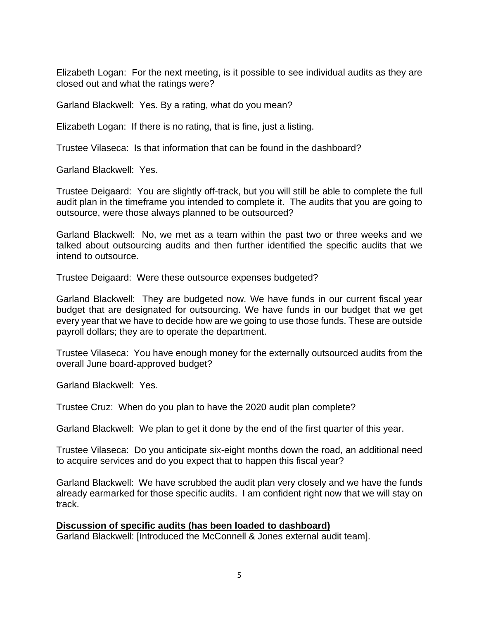Elizabeth Logan: For the next meeting, is it possible to see individual audits as they are closed out and what the ratings were?

Garland Blackwell: Yes. By a rating, what do you mean?

Elizabeth Logan: If there is no rating, that is fine, just a listing.

Trustee Vilaseca: Is that information that can be found in the dashboard?

Garland Blackwell: Yes.

Trustee Deigaard: You are slightly off-track, but you will still be able to complete the full audit plan in the timeframe you intended to complete it. The audits that you are going to outsource, were those always planned to be outsourced?

Garland Blackwell: No, we met as a team within the past two or three weeks and we talked about outsourcing audits and then further identified the specific audits that we intend to outsource.

Trustee Deigaard: Were these outsource expenses budgeted?

Garland Blackwell: They are budgeted now. We have funds in our current fiscal year budget that are designated for outsourcing. We have funds in our budget that we get every year that we have to decide how are we going to use those funds. These are outside payroll dollars; they are to operate the department.

Trustee Vilaseca: You have enough money for the externally outsourced audits from the overall June board-approved budget?

Garland Blackwell: Yes.

Trustee Cruz: When do you plan to have the 2020 audit plan complete?

Garland Blackwell: We plan to get it done by the end of the first quarter of this year.

Trustee Vilaseca: Do you anticipate six-eight months down the road, an additional need to acquire services and do you expect that to happen this fiscal year?

Garland Blackwell: We have scrubbed the audit plan very closely and we have the funds already earmarked for those specific audits. I am confident right now that we will stay on track.

## **Discussion of specific audits (has been loaded to dashboard)**

Garland Blackwell: [Introduced the McConnell & Jones external audit team].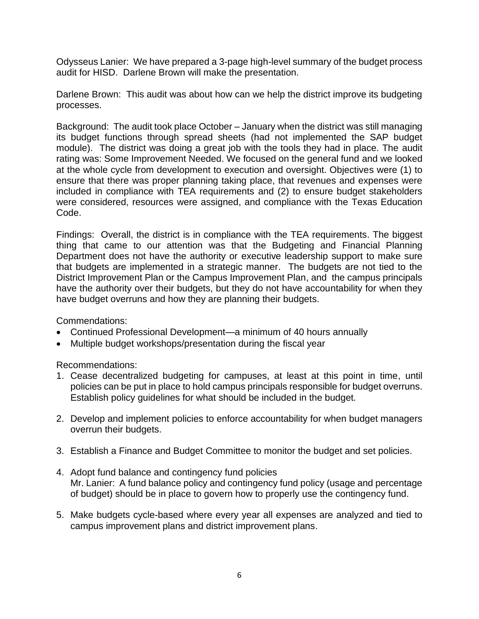Odysseus Lanier: We have prepared a 3-page high-level summary of the budget process audit for HISD. Darlene Brown will make the presentation.

Darlene Brown: This audit was about how can we help the district improve its budgeting processes.

Background: The audit took place October – January when the district was still managing its budget functions through spread sheets (had not implemented the SAP budget module). The district was doing a great job with the tools they had in place. The audit rating was: Some Improvement Needed. We focused on the general fund and we looked at the whole cycle from development to execution and oversight. Objectives were (1) to ensure that there was proper planning taking place, that revenues and expenses were included in compliance with TEA requirements and (2) to ensure budget stakeholders were considered, resources were assigned, and compliance with the Texas Education Code.

Findings: Overall, the district is in compliance with the TEA requirements. The biggest thing that came to our attention was that the Budgeting and Financial Planning Department does not have the authority or executive leadership support to make sure that budgets are implemented in a strategic manner. The budgets are not tied to the District Improvement Plan or the Campus Improvement Plan, and the campus principals have the authority over their budgets, but they do not have accountability for when they have budget overruns and how they are planning their budgets.

Commendations:

- Continued Professional Development—a minimum of 40 hours annually
- Multiple budget workshops/presentation during the fiscal year

Recommendations:

- 1. Cease decentralized budgeting for campuses, at least at this point in time, until policies can be put in place to hold campus principals responsible for budget overruns. Establish policy guidelines for what should be included in the budget.
- 2. Develop and implement policies to enforce accountability for when budget managers overrun their budgets.
- 3. Establish a Finance and Budget Committee to monitor the budget and set policies.
- 4. Adopt fund balance and contingency fund policies Mr. Lanier: A fund balance policy and contingency fund policy (usage and percentage of budget) should be in place to govern how to properly use the contingency fund.
- 5. Make budgets cycle-based where every year all expenses are analyzed and tied to campus improvement plans and district improvement plans.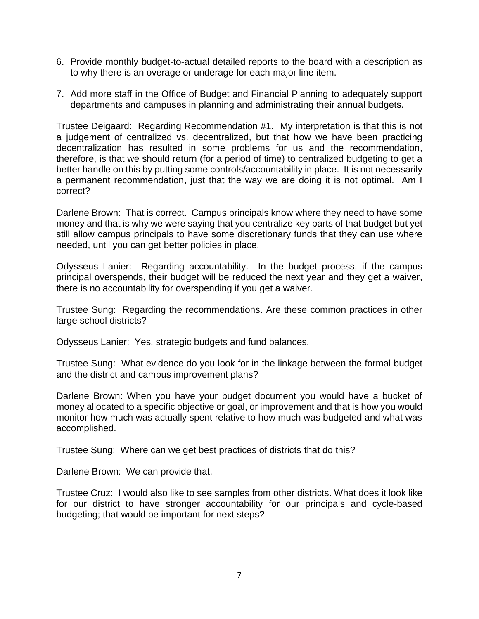- 6. Provide monthly budget-to-actual detailed reports to the board with a description as to why there is an overage or underage for each major line item.
- 7. Add more staff in the Office of Budget and Financial Planning to adequately support departments and campuses in planning and administrating their annual budgets.

Trustee Deigaard: Regarding Recommendation #1. My interpretation is that this is not a judgement of centralized vs. decentralized, but that how we have been practicing decentralization has resulted in some problems for us and the recommendation, therefore, is that we should return (for a period of time) to centralized budgeting to get a better handle on this by putting some controls/accountability in place. It is not necessarily a permanent recommendation, just that the way we are doing it is not optimal. Am I correct?

Darlene Brown: That is correct. Campus principals know where they need to have some money and that is why we were saying that you centralize key parts of that budget but yet still allow campus principals to have some discretionary funds that they can use where needed, until you can get better policies in place.

Odysseus Lanier: Regarding accountability. In the budget process, if the campus principal overspends, their budget will be reduced the next year and they get a waiver, there is no accountability for overspending if you get a waiver.

Trustee Sung: Regarding the recommendations. Are these common practices in other large school districts?

Odysseus Lanier: Yes, strategic budgets and fund balances.

Trustee Sung: What evidence do you look for in the linkage between the formal budget and the district and campus improvement plans?

Darlene Brown: When you have your budget document you would have a bucket of money allocated to a specific objective or goal, or improvement and that is how you would monitor how much was actually spent relative to how much was budgeted and what was accomplished.

Trustee Sung: Where can we get best practices of districts that do this?

Darlene Brown: We can provide that.

Trustee Cruz: I would also like to see samples from other districts. What does it look like for our district to have stronger accountability for our principals and cycle-based budgeting; that would be important for next steps?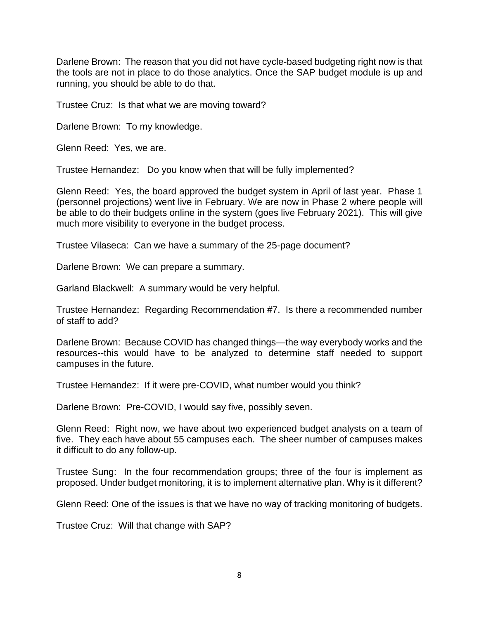Darlene Brown: The reason that you did not have cycle-based budgeting right now is that the tools are not in place to do those analytics. Once the SAP budget module is up and running, you should be able to do that.

Trustee Cruz: Is that what we are moving toward?

Darlene Brown: To my knowledge.

Glenn Reed: Yes, we are.

Trustee Hernandez: Do you know when that will be fully implemented?

Glenn Reed: Yes, the board approved the budget system in April of last year. Phase 1 (personnel projections) went live in February. We are now in Phase 2 where people will be able to do their budgets online in the system (goes live February 2021). This will give much more visibility to everyone in the budget process.

Trustee Vilaseca: Can we have a summary of the 25-page document?

Darlene Brown: We can prepare a summary.

Garland Blackwell: A summary would be very helpful.

Trustee Hernandez: Regarding Recommendation #7. Is there a recommended number of staff to add?

Darlene Brown: Because COVID has changed things—the way everybody works and the resources--this would have to be analyzed to determine staff needed to support campuses in the future.

Trustee Hernandez: If it were pre-COVID, what number would you think?

Darlene Brown: Pre-COVID, I would say five, possibly seven.

Glenn Reed: Right now, we have about two experienced budget analysts on a team of five. They each have about 55 campuses each. The sheer number of campuses makes it difficult to do any follow-up.

Trustee Sung: In the four recommendation groups; three of the four is implement as proposed. Under budget monitoring, it is to implement alternative plan. Why is it different?

Glenn Reed: One of the issues is that we have no way of tracking monitoring of budgets.

Trustee Cruz: Will that change with SAP?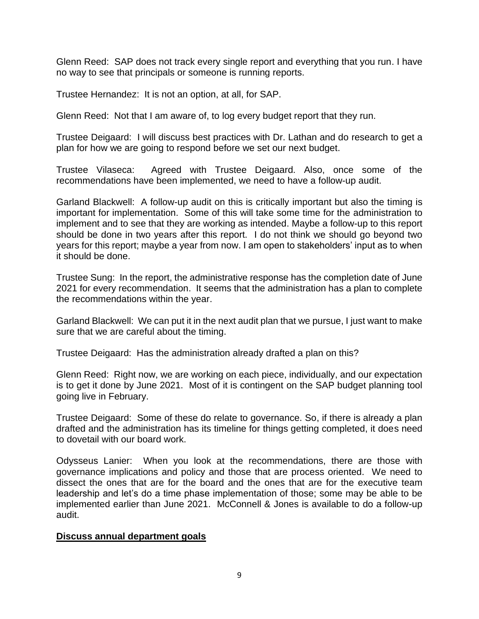Glenn Reed: SAP does not track every single report and everything that you run. I have no way to see that principals or someone is running reports.

Trustee Hernandez: It is not an option, at all, for SAP.

Glenn Reed: Not that I am aware of, to log every budget report that they run.

Trustee Deigaard: I will discuss best practices with Dr. Lathan and do research to get a plan for how we are going to respond before we set our next budget.

Trustee Vilaseca: Agreed with Trustee Deigaard. Also, once some of the recommendations have been implemented, we need to have a follow-up audit.

Garland Blackwell: A follow-up audit on this is critically important but also the timing is important for implementation. Some of this will take some time for the administration to implement and to see that they are working as intended. Maybe a follow-up to this report should be done in two years after this report. I do not think we should go beyond two years for this report; maybe a year from now. I am open to stakeholders' input as to when it should be done.

Trustee Sung: In the report, the administrative response has the completion date of June 2021 for every recommendation. It seems that the administration has a plan to complete the recommendations within the year.

Garland Blackwell: We can put it in the next audit plan that we pursue, I just want to make sure that we are careful about the timing.

Trustee Deigaard: Has the administration already drafted a plan on this?

Glenn Reed: Right now, we are working on each piece, individually, and our expectation is to get it done by June 2021. Most of it is contingent on the SAP budget planning tool going live in February.

Trustee Deigaard: Some of these do relate to governance. So, if there is already a plan drafted and the administration has its timeline for things getting completed, it does need to dovetail with our board work.

Odysseus Lanier: When you look at the recommendations, there are those with governance implications and policy and those that are process oriented. We need to dissect the ones that are for the board and the ones that are for the executive team leadership and let's do a time phase implementation of those; some may be able to be implemented earlier than June 2021. McConnell & Jones is available to do a follow-up audit.

## **Discuss annual department goals**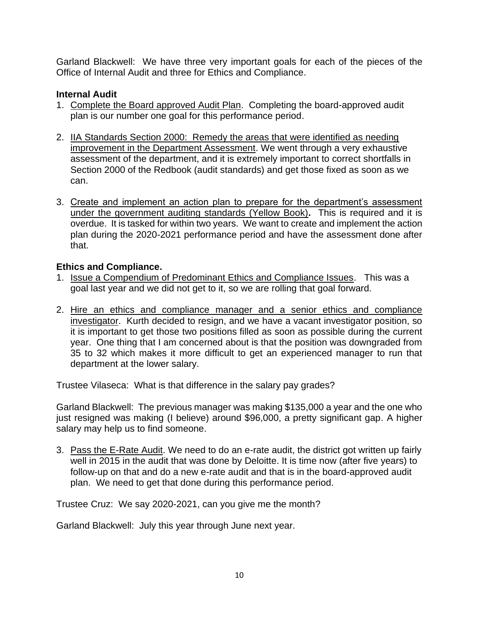Garland Blackwell: We have three very important goals for each of the pieces of the Office of Internal Audit and three for Ethics and Compliance.

# **Internal Audit**

- 1. Complete the Board approved Audit Plan. Completing the board-approved audit plan is our number one goal for this performance period.
- 2. IIA Standards Section 2000: Remedy the areas that were identified as needing improvement in the Department Assessment. We went through a very exhaustive assessment of the department, and it is extremely important to correct shortfalls in Section 2000 of the Redbook (audit standards) and get those fixed as soon as we can.
- 3. Create and implement an action plan to prepare for the department's assessment under the government auditing standards (Yellow Book)**.** This is required and it is overdue. It is tasked for within two years. We want to create and implement the action plan during the 2020-2021 performance period and have the assessment done after that.

# **Ethics and Compliance.**

- 1. Issue a Compendium of Predominant Ethics and Compliance Issues. This was a goal last year and we did not get to it, so we are rolling that goal forward.
- 2. Hire an ethics and compliance manager and a senior ethics and compliance investigator.Kurth decided to resign, and we have a vacant investigator position, so it is important to get those two positions filled as soon as possible during the current year. One thing that I am concerned about is that the position was downgraded from 35 to 32 which makes it more difficult to get an experienced manager to run that department at the lower salary.

Trustee Vilaseca: What is that difference in the salary pay grades?

Garland Blackwell: The previous manager was making \$135,000 a year and the one who just resigned was making (I believe) around \$96,000, a pretty significant gap. A higher salary may help us to find someone.

3. Pass the E-Rate Audit. We need to do an e-rate audit, the district got written up fairly well in 2015 in the audit that was done by Deloitte. It is time now (after five years) to follow-up on that and do a new e-rate audit and that is in the board-approved audit plan. We need to get that done during this performance period.

Trustee Cruz: We say 2020-2021, can you give me the month?

Garland Blackwell: July this year through June next year.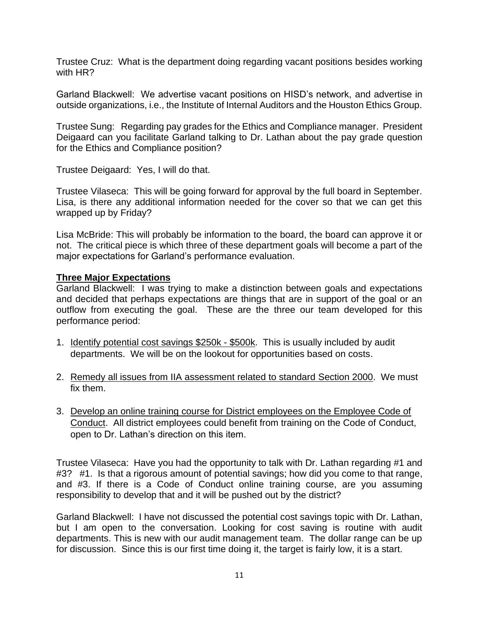Trustee Cruz: What is the department doing regarding vacant positions besides working with HR?

Garland Blackwell: We advertise vacant positions on HISD's network, and advertise in outside organizations, i.e., the Institute of Internal Auditors and the Houston Ethics Group.

Trustee Sung: Regarding pay grades for the Ethics and Compliance manager. President Deigaard can you facilitate Garland talking to Dr. Lathan about the pay grade question for the Ethics and Compliance position?

Trustee Deigaard: Yes, I will do that.

Trustee Vilaseca: This will be going forward for approval by the full board in September. Lisa, is there any additional information needed for the cover so that we can get this wrapped up by Friday?

Lisa McBride: This will probably be information to the board, the board can approve it or not. The critical piece is which three of these department goals will become a part of the major expectations for Garland's performance evaluation.

### **Three Major Expectations**

Garland Blackwell: I was trying to make a distinction between goals and expectations and decided that perhaps expectations are things that are in support of the goal or an outflow from executing the goal. These are the three our team developed for this performance period:

- 1. Identify potential cost savings \$250k \$500k. This is usually included by audit departments. We will be on the lookout for opportunities based on costs.
- 2. Remedy all issues from IIA assessment related to standard Section 2000. We must fix them.
- 3. Develop an online training course for District employees on the Employee Code of Conduct. All district employees could benefit from training on the Code of Conduct, open to Dr. Lathan's direction on this item.

Trustee Vilaseca: Have you had the opportunity to talk with Dr. Lathan regarding #1 and #3? #1. Is that a rigorous amount of potential savings; how did you come to that range, and #3. If there is a Code of Conduct online training course, are you assuming responsibility to develop that and it will be pushed out by the district?

Garland Blackwell: I have not discussed the potential cost savings topic with Dr. Lathan, but I am open to the conversation. Looking for cost saving is routine with audit departments. This is new with our audit management team. The dollar range can be up for discussion. Since this is our first time doing it, the target is fairly low, it is a start.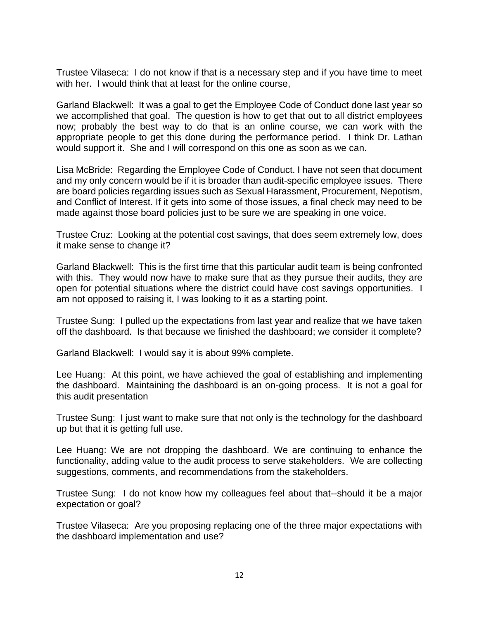Trustee Vilaseca: I do not know if that is a necessary step and if you have time to meet with her. I would think that at least for the online course,

Garland Blackwell: It was a goal to get the Employee Code of Conduct done last year so we accomplished that goal. The question is how to get that out to all district employees now; probably the best way to do that is an online course, we can work with the appropriate people to get this done during the performance period. I think Dr. Lathan would support it. She and I will correspond on this one as soon as we can.

Lisa McBride: Regarding the Employee Code of Conduct. I have not seen that document and my only concern would be if it is broader than audit-specific employee issues. There are board policies regarding issues such as Sexual Harassment, Procurement, Nepotism, and Conflict of Interest. If it gets into some of those issues, a final check may need to be made against those board policies just to be sure we are speaking in one voice.

Trustee Cruz: Looking at the potential cost savings, that does seem extremely low, does it make sense to change it?

Garland Blackwell: This is the first time that this particular audit team is being confronted with this. They would now have to make sure that as they pursue their audits, they are open for potential situations where the district could have cost savings opportunities. I am not opposed to raising it, I was looking to it as a starting point.

Trustee Sung: I pulled up the expectations from last year and realize that we have taken off the dashboard. Is that because we finished the dashboard; we consider it complete?

Garland Blackwell: I would say it is about 99% complete.

Lee Huang: At this point, we have achieved the goal of establishing and implementing the dashboard. Maintaining the dashboard is an on-going process. It is not a goal for this audit presentation

Trustee Sung: I just want to make sure that not only is the technology for the dashboard up but that it is getting full use.

Lee Huang: We are not dropping the dashboard. We are continuing to enhance the functionality, adding value to the audit process to serve stakeholders. We are collecting suggestions, comments, and recommendations from the stakeholders.

Trustee Sung: I do not know how my colleagues feel about that--should it be a major expectation or goal?

Trustee Vilaseca: Are you proposing replacing one of the three major expectations with the dashboard implementation and use?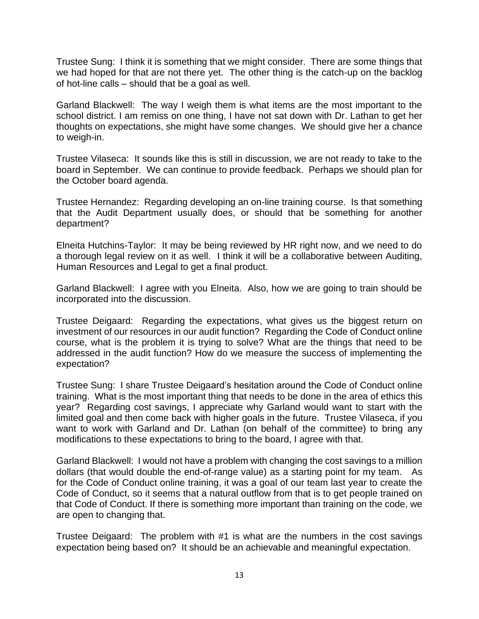Trustee Sung: I think it is something that we might consider. There are some things that we had hoped for that are not there yet. The other thing is the catch-up on the backlog of hot-line calls – should that be a goal as well.

Garland Blackwell: The way I weigh them is what items are the most important to the school district. I am remiss on one thing, I have not sat down with Dr. Lathan to get her thoughts on expectations, she might have some changes. We should give her a chance to weigh-in.

Trustee Vilaseca: It sounds like this is still in discussion, we are not ready to take to the board in September. We can continue to provide feedback. Perhaps we should plan for the October board agenda.

Trustee Hernandez: Regarding developing an on-line training course. Is that something that the Audit Department usually does, or should that be something for another department?

Elneita Hutchins-Taylor: It may be being reviewed by HR right now, and we need to do a thorough legal review on it as well. I think it will be a collaborative between Auditing, Human Resources and Legal to get a final product.

Garland Blackwell: I agree with you Elneita. Also, how we are going to train should be incorporated into the discussion.

Trustee Deigaard: Regarding the expectations, what gives us the biggest return on investment of our resources in our audit function? Regarding the Code of Conduct online course, what is the problem it is trying to solve? What are the things that need to be addressed in the audit function? How do we measure the success of implementing the expectation?

Trustee Sung: I share Trustee Deigaard's hesitation around the Code of Conduct online training. What is the most important thing that needs to be done in the area of ethics this year? Regarding cost savings, I appreciate why Garland would want to start with the limited goal and then come back with higher goals in the future. Trustee Vilaseca, if you want to work with Garland and Dr. Lathan (on behalf of the committee) to bring any modifications to these expectations to bring to the board, I agree with that.

Garland Blackwell: I would not have a problem with changing the cost savings to a million dollars (that would double the end-of-range value) as a starting point for my team. As for the Code of Conduct online training, it was a goal of our team last year to create the Code of Conduct, so it seems that a natural outflow from that is to get people trained on that Code of Conduct. If there is something more important than training on the code, we are open to changing that.

Trustee Deigaard: The problem with #1 is what are the numbers in the cost savings expectation being based on? It should be an achievable and meaningful expectation.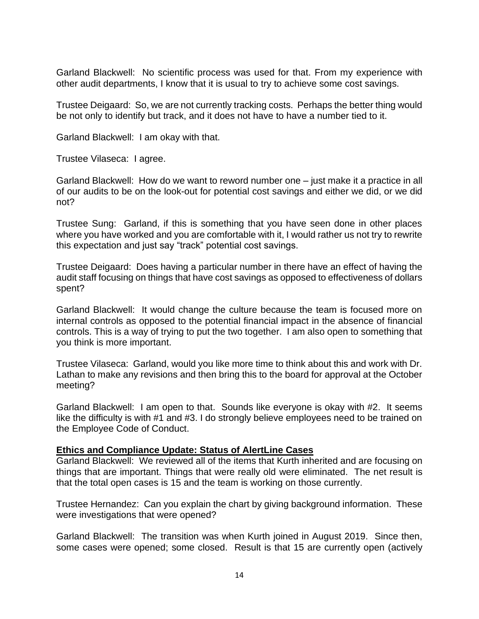Garland Blackwell: No scientific process was used for that. From my experience with other audit departments, I know that it is usual to try to achieve some cost savings.

Trustee Deigaard: So, we are not currently tracking costs. Perhaps the better thing would be not only to identify but track, and it does not have to have a number tied to it.

Garland Blackwell: I am okay with that.

Trustee Vilaseca: I agree.

Garland Blackwell: How do we want to reword number one – just make it a practice in all of our audits to be on the look-out for potential cost savings and either we did, or we did not?

Trustee Sung: Garland, if this is something that you have seen done in other places where you have worked and you are comfortable with it, I would rather us not try to rewrite this expectation and just say "track" potential cost savings.

Trustee Deigaard: Does having a particular number in there have an effect of having the audit staff focusing on things that have cost savings as opposed to effectiveness of dollars spent?

Garland Blackwell: It would change the culture because the team is focused more on internal controls as opposed to the potential financial impact in the absence of financial controls. This is a way of trying to put the two together. I am also open to something that you think is more important.

Trustee Vilaseca: Garland, would you like more time to think about this and work with Dr. Lathan to make any revisions and then bring this to the board for approval at the October meeting?

Garland Blackwell: I am open to that. Sounds like everyone is okay with #2. It seems like the difficulty is with #1 and #3. I do strongly believe employees need to be trained on the Employee Code of Conduct.

### **Ethics and Compliance Update: Status of AlertLine Cases**

Garland Blackwell: We reviewed all of the items that Kurth inherited and are focusing on things that are important. Things that were really old were eliminated. The net result is that the total open cases is 15 and the team is working on those currently.

Trustee Hernandez: Can you explain the chart by giving background information. These were investigations that were opened?

Garland Blackwell: The transition was when Kurth joined in August 2019. Since then, some cases were opened; some closed. Result is that 15 are currently open (actively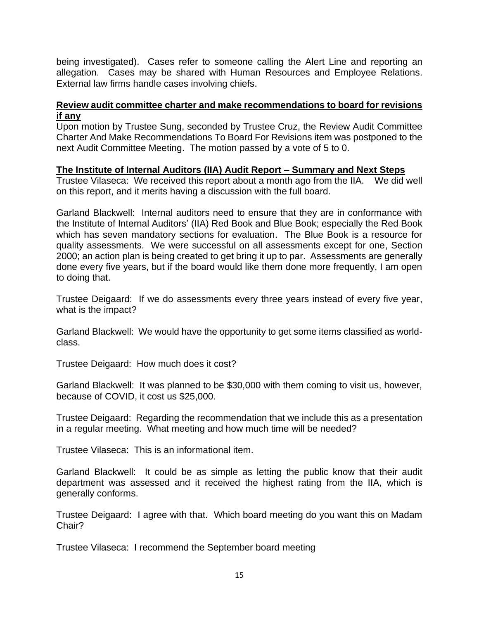being investigated). Cases refer to someone calling the Alert Line and reporting an allegation. Cases may be shared with Human Resources and Employee Relations. External law firms handle cases involving chiefs.

# **Review audit committee charter and make recommendations to board for revisions if any**

Upon motion by Trustee Sung, seconded by Trustee Cruz, the Review Audit Committee Charter And Make Recommendations To Board For Revisions item was postponed to the next Audit Committee Meeting. The motion passed by a vote of 5 to 0.

# **The Institute of Internal Auditors (IIA) Audit Report – Summary and Next Steps**

Trustee Vilaseca: We received this report about a month ago from the IIA. We did well on this report, and it merits having a discussion with the full board.

Garland Blackwell: Internal auditors need to ensure that they are in conformance with the Institute of Internal Auditors' (IIA) Red Book and Blue Book; especially the Red Book which has seven mandatory sections for evaluation. The Blue Book is a resource for quality assessments. We were successful on all assessments except for one, Section 2000; an action plan is being created to get bring it up to par. Assessments are generally done every five years, but if the board would like them done more frequently, I am open to doing that.

Trustee Deigaard: If we do assessments every three years instead of every five year, what is the impact?

Garland Blackwell: We would have the opportunity to get some items classified as worldclass.

Trustee Deigaard: How much does it cost?

Garland Blackwell: It was planned to be \$30,000 with them coming to visit us, however, because of COVID, it cost us \$25,000.

Trustee Deigaard: Regarding the recommendation that we include this as a presentation in a regular meeting. What meeting and how much time will be needed?

Trustee Vilaseca: This is an informational item.

Garland Blackwell: It could be as simple as letting the public know that their audit department was assessed and it received the highest rating from the IIA, which is generally conforms.

Trustee Deigaard: I agree with that. Which board meeting do you want this on Madam Chair?

Trustee Vilaseca: I recommend the September board meeting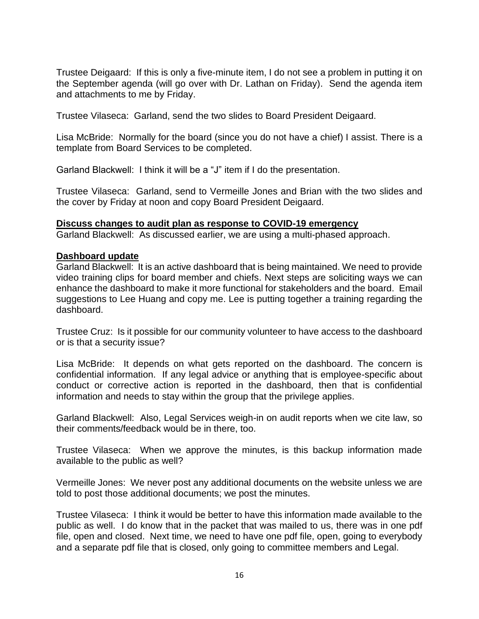Trustee Deigaard: If this is only a five-minute item, I do not see a problem in putting it on the September agenda (will go over with Dr. Lathan on Friday). Send the agenda item and attachments to me by Friday.

Trustee Vilaseca: Garland, send the two slides to Board President Deigaard.

Lisa McBride: Normally for the board (since you do not have a chief) I assist. There is a template from Board Services to be completed.

Garland Blackwell: I think it will be a "J" item if I do the presentation.

Trustee Vilaseca: Garland, send to Vermeille Jones and Brian with the two slides and the cover by Friday at noon and copy Board President Deigaard.

### **Discuss changes to audit plan as response to COVID-19 emergency**

Garland Blackwell: As discussed earlier, we are using a multi-phased approach.

#### **Dashboard update**

Garland Blackwell: It is an active dashboard that is being maintained. We need to provide video training clips for board member and chiefs. Next steps are soliciting ways we can enhance the dashboard to make it more functional for stakeholders and the board. Email suggestions to Lee Huang and copy me. Lee is putting together a training regarding the dashboard.

Trustee Cruz: Is it possible for our community volunteer to have access to the dashboard or is that a security issue?

Lisa McBride: It depends on what gets reported on the dashboard. The concern is confidential information. If any legal advice or anything that is employee-specific about conduct or corrective action is reported in the dashboard, then that is confidential information and needs to stay within the group that the privilege applies.

Garland Blackwell: Also, Legal Services weigh-in on audit reports when we cite law, so their comments/feedback would be in there, too.

Trustee Vilaseca: When we approve the minutes, is this backup information made available to the public as well?

Vermeille Jones: We never post any additional documents on the website unless we are told to post those additional documents; we post the minutes.

Trustee Vilaseca: I think it would be better to have this information made available to the public as well. I do know that in the packet that was mailed to us, there was in one pdf file, open and closed. Next time, we need to have one pdf file, open, going to everybody and a separate pdf file that is closed, only going to committee members and Legal.